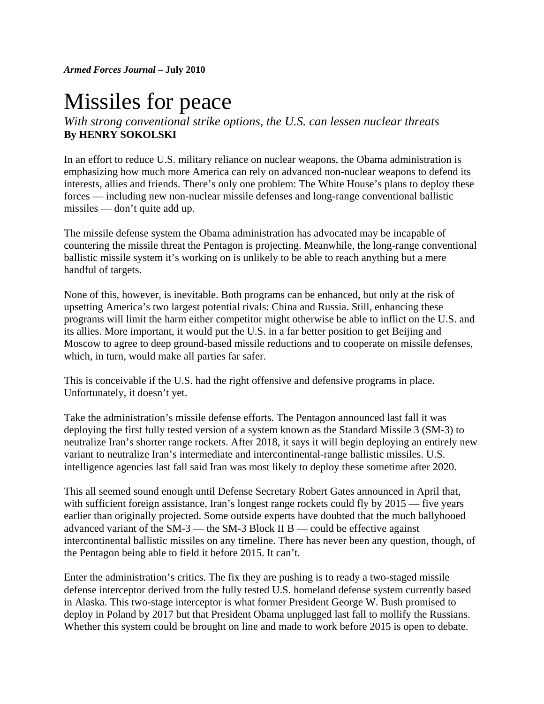*Armed Forces Journal* **– July 2010** 

## Missiles for peace

*With strong conventional strike options, the U.S. can lessen nuclear threats*  **By HENRY SOKOLSKI**

In an effort to reduce U.S. military reliance on nuclear weapons, the Obama administration is emphasizing how much more America can rely on advanced non-nuclear weapons to defend its interests, allies and friends. There's only one problem: The White House's plans to deploy these forces — including new non-nuclear missile defenses and long-range conventional ballistic missiles — don't quite add up.

The missile defense system the Obama administration has advocated may be incapable of countering the missile threat the Pentagon is projecting. Meanwhile, the long-range conventional ballistic missile system it's working on is unlikely to be able to reach anything but a mere handful of targets.

None of this, however, is inevitable. Both programs can be enhanced, but only at the risk of upsetting America's two largest potential rivals: China and Russia. Still, enhancing these programs will limit the harm either competitor might otherwise be able to inflict on the U.S. and its allies. More important, it would put the U.S. in a far better position to get Beijing and Moscow to agree to deep ground-based missile reductions and to cooperate on missile defenses, which, in turn, would make all parties far safer.

This is conceivable if the U.S. had the right offensive and defensive programs in place. Unfortunately, it doesn't yet.

Take the administration's missile defense efforts. The Pentagon announced last fall it was deploying the first fully tested version of a system known as the Standard Missile 3 (SM-3) to neutralize Iran's shorter range rockets. After 2018, it says it will begin deploying an entirely new variant to neutralize Iran's intermediate and intercontinental-range ballistic missiles. U.S. intelligence agencies last fall said Iran was most likely to deploy these sometime after 2020.

This all seemed sound enough until Defense Secretary Robert Gates announced in April that, with sufficient foreign assistance, Iran's longest range rockets could fly by 2015 — five years earlier than originally projected. Some outside experts have doubted that the much ballyhooed advanced variant of the SM-3 — the SM-3 Block II B — could be effective against intercontinental ballistic missiles on any timeline. There has never been any question, though, of the Pentagon being able to field it before 2015. It can't.

Enter the administration's critics. The fix they are pushing is to ready a two-staged missile defense interceptor derived from the fully tested U.S. homeland defense system currently based in Alaska. This two-stage interceptor is what former President George W. Bush promised to deploy in Poland by 2017 but that President Obama unplugged last fall to mollify the Russians. Whether this system could be brought on line and made to work before 2015 is open to debate.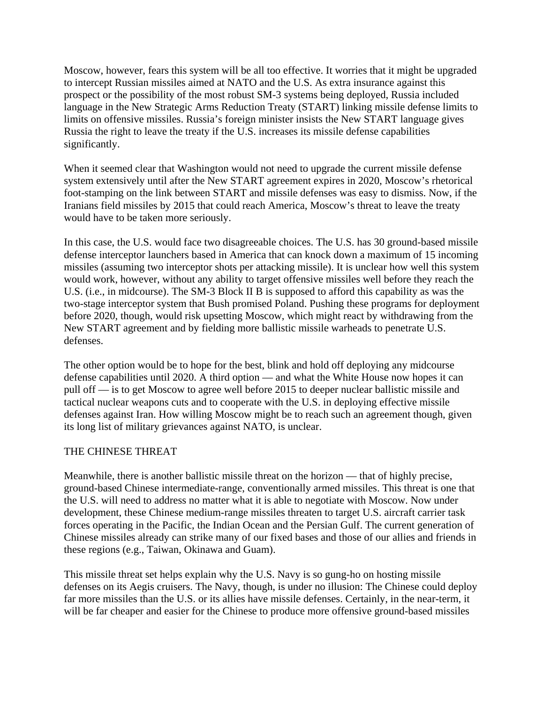Moscow, however, fears this system will be all too effective. It worries that it might be upgraded to intercept Russian missiles aimed at NATO and the U.S. As extra insurance against this prospect or the possibility of the most robust SM-3 systems being deployed, Russia included language in the New Strategic Arms Reduction Treaty (START) linking missile defense limits to limits on offensive missiles. Russia's foreign minister insists the New START language gives Russia the right to leave the treaty if the U.S. increases its missile defense capabilities significantly.

When it seemed clear that Washington would not need to upgrade the current missile defense system extensively until after the New START agreement expires in 2020, Moscow's rhetorical foot-stamping on the link between START and missile defenses was easy to dismiss. Now, if the Iranians field missiles by 2015 that could reach America, Moscow's threat to leave the treaty would have to be taken more seriously.

In this case, the U.S. would face two disagreeable choices. The U.S. has 30 ground-based missile defense interceptor launchers based in America that can knock down a maximum of 15 incoming missiles (assuming two interceptor shots per attacking missile). It is unclear how well this system would work, however, without any ability to target offensive missiles well before they reach the U.S. (i.e., in midcourse). The SM-3 Block II B is supposed to afford this capability as was the two-stage interceptor system that Bush promised Poland. Pushing these programs for deployment before 2020, though, would risk upsetting Moscow, which might react by withdrawing from the New START agreement and by fielding more ballistic missile warheads to penetrate U.S. defenses.

The other option would be to hope for the best, blink and hold off deploying any midcourse defense capabilities until 2020. A third option — and what the White House now hopes it can pull off — is to get Moscow to agree well before 2015 to deeper nuclear ballistic missile and tactical nuclear weapons cuts and to cooperate with the U.S. in deploying effective missile defenses against Iran. How willing Moscow might be to reach such an agreement though, given its long list of military grievances against NATO, is unclear.

## THE CHINESE THREAT

Meanwhile, there is another ballistic missile threat on the horizon — that of highly precise, ground-based Chinese intermediate-range, conventionally armed missiles. This threat is one that the U.S. will need to address no matter what it is able to negotiate with Moscow. Now under development, these Chinese medium-range missiles threaten to target U.S. aircraft carrier task forces operating in the Pacific, the Indian Ocean and the Persian Gulf. The current generation of Chinese missiles already can strike many of our fixed bases and those of our allies and friends in these regions (e.g., Taiwan, Okinawa and Guam).

This missile threat set helps explain why the U.S. Navy is so gung-ho on hosting missile defenses on its Aegis cruisers. The Navy, though, is under no illusion: The Chinese could deploy far more missiles than the U.S. or its allies have missile defenses. Certainly, in the near-term, it will be far cheaper and easier for the Chinese to produce more offensive ground-based missiles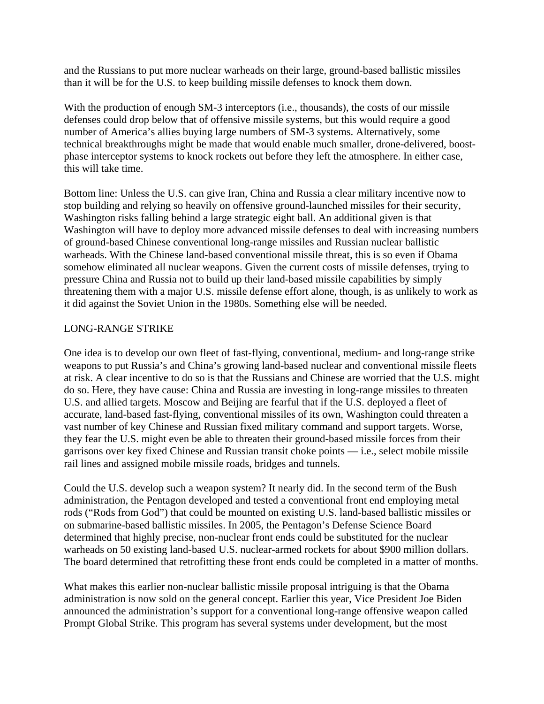and the Russians to put more nuclear warheads on their large, ground-based ballistic missiles than it will be for the U.S. to keep building missile defenses to knock them down.

With the production of enough SM-3 interceptors (i.e., thousands), the costs of our missile defenses could drop below that of offensive missile systems, but this would require a good number of America's allies buying large numbers of SM-3 systems. Alternatively, some technical breakthroughs might be made that would enable much smaller, drone-delivered, boostphase interceptor systems to knock rockets out before they left the atmosphere. In either case, this will take time.

Bottom line: Unless the U.S. can give Iran, China and Russia a clear military incentive now to stop building and relying so heavily on offensive ground-launched missiles for their security, Washington risks falling behind a large strategic eight ball. An additional given is that Washington will have to deploy more advanced missile defenses to deal with increasing numbers of ground-based Chinese conventional long-range missiles and Russian nuclear ballistic warheads. With the Chinese land-based conventional missile threat, this is so even if Obama somehow eliminated all nuclear weapons. Given the current costs of missile defenses, trying to pressure China and Russia not to build up their land-based missile capabilities by simply threatening them with a major U.S. missile defense effort alone, though, is as unlikely to work as it did against the Soviet Union in the 1980s. Something else will be needed.

## LONG-RANGE STRIKE

One idea is to develop our own fleet of fast-flying, conventional, medium- and long-range strike weapons to put Russia's and China's growing land-based nuclear and conventional missile fleets at risk. A clear incentive to do so is that the Russians and Chinese are worried that the U.S. might do so. Here, they have cause: China and Russia are investing in long-range missiles to threaten U.S. and allied targets. Moscow and Beijing are fearful that if the U.S. deployed a fleet of accurate, land-based fast-flying, conventional missiles of its own, Washington could threaten a vast number of key Chinese and Russian fixed military command and support targets. Worse, they fear the U.S. might even be able to threaten their ground-based missile forces from their garrisons over key fixed Chinese and Russian transit choke points — i.e., select mobile missile rail lines and assigned mobile missile roads, bridges and tunnels.

Could the U.S. develop such a weapon system? It nearly did. In the second term of the Bush administration, the Pentagon developed and tested a conventional front end employing metal rods ("Rods from God") that could be mounted on existing U.S. land-based ballistic missiles or on submarine-based ballistic missiles. In 2005, the Pentagon's Defense Science Board determined that highly precise, non-nuclear front ends could be substituted for the nuclear warheads on 50 existing land-based U.S. nuclear-armed rockets for about \$900 million dollars. The board determined that retrofitting these front ends could be completed in a matter of months.

What makes this earlier non-nuclear ballistic missile proposal intriguing is that the Obama administration is now sold on the general concept. Earlier this year, Vice President Joe Biden announced the administration's support for a conventional long-range offensive weapon called Prompt Global Strike. This program has several systems under development, but the most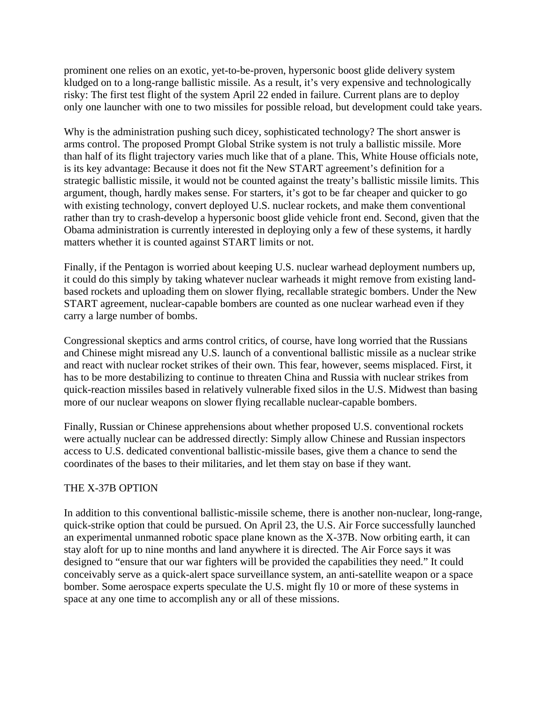prominent one relies on an exotic, yet-to-be-proven, hypersonic boost glide delivery system kludged on to a long-range ballistic missile. As a result, it's very expensive and technologically risky: The first test flight of the system April 22 ended in failure. Current plans are to deploy only one launcher with one to two missiles for possible reload, but development could take years.

Why is the administration pushing such dicey, sophisticated technology? The short answer is arms control. The proposed Prompt Global Strike system is not truly a ballistic missile. More than half of its flight trajectory varies much like that of a plane. This, White House officials note, is its key advantage: Because it does not fit the New START agreement's definition for a strategic ballistic missile, it would not be counted against the treaty's ballistic missile limits. This argument, though, hardly makes sense. For starters, it's got to be far cheaper and quicker to go with existing technology, convert deployed U.S. nuclear rockets, and make them conventional rather than try to crash-develop a hypersonic boost glide vehicle front end. Second, given that the Obama administration is currently interested in deploying only a few of these systems, it hardly matters whether it is counted against START limits or not.

Finally, if the Pentagon is worried about keeping U.S. nuclear warhead deployment numbers up, it could do this simply by taking whatever nuclear warheads it might remove from existing landbased rockets and uploading them on slower flying, recallable strategic bombers. Under the New START agreement, nuclear-capable bombers are counted as one nuclear warhead even if they carry a large number of bombs.

Congressional skeptics and arms control critics, of course, have long worried that the Russians and Chinese might misread any U.S. launch of a conventional ballistic missile as a nuclear strike and react with nuclear rocket strikes of their own. This fear, however, seems misplaced. First, it has to be more destabilizing to continue to threaten China and Russia with nuclear strikes from quick-reaction missiles based in relatively vulnerable fixed silos in the U.S. Midwest than basing more of our nuclear weapons on slower flying recallable nuclear-capable bombers.

Finally, Russian or Chinese apprehensions about whether proposed U.S. conventional rockets were actually nuclear can be addressed directly: Simply allow Chinese and Russian inspectors access to U.S. dedicated conventional ballistic-missile bases, give them a chance to send the coordinates of the bases to their militaries, and let them stay on base if they want.

## THE X-37B OPTION

In addition to this conventional ballistic-missile scheme, there is another non-nuclear, long-range, quick-strike option that could be pursued. On April 23, the U.S. Air Force successfully launched an experimental unmanned robotic space plane known as the X-37B. Now orbiting earth, it can stay aloft for up to nine months and land anywhere it is directed. The Air Force says it was designed to "ensure that our war fighters will be provided the capabilities they need." It could conceivably serve as a quick-alert space surveillance system, an anti-satellite weapon or a space bomber. Some aerospace experts speculate the U.S. might fly 10 or more of these systems in space at any one time to accomplish any or all of these missions.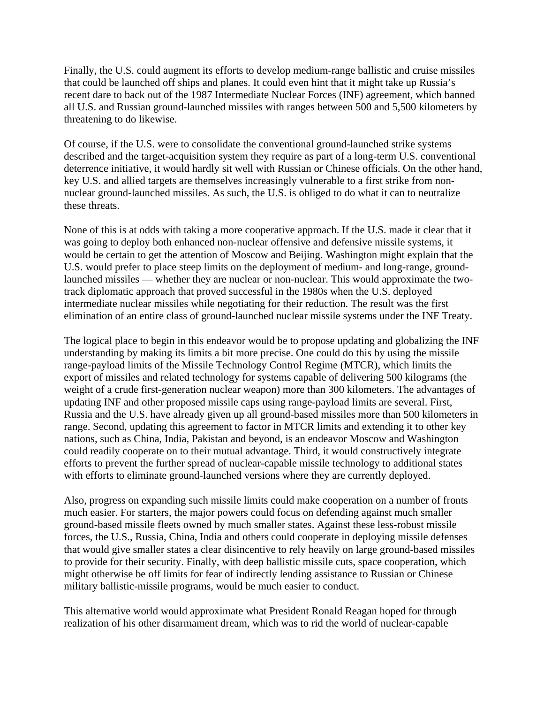Finally, the U.S. could augment its efforts to develop medium-range ballistic and cruise missiles that could be launched off ships and planes. It could even hint that it might take up Russia's recent dare to back out of the 1987 Intermediate Nuclear Forces (INF) agreement, which banned all U.S. and Russian ground-launched missiles with ranges between 500 and 5,500 kilometers by threatening to do likewise.

Of course, if the U.S. were to consolidate the conventional ground-launched strike systems described and the target-acquisition system they require as part of a long-term U.S. conventional deterrence initiative, it would hardly sit well with Russian or Chinese officials. On the other hand, key U.S. and allied targets are themselves increasingly vulnerable to a first strike from nonnuclear ground-launched missiles. As such, the U.S. is obliged to do what it can to neutralize these threats.

None of this is at odds with taking a more cooperative approach. If the U.S. made it clear that it was going to deploy both enhanced non-nuclear offensive and defensive missile systems, it would be certain to get the attention of Moscow and Beijing. Washington might explain that the U.S. would prefer to place steep limits on the deployment of medium- and long-range, groundlaunched missiles — whether they are nuclear or non-nuclear. This would approximate the twotrack diplomatic approach that proved successful in the 1980s when the U.S. deployed intermediate nuclear missiles while negotiating for their reduction. The result was the first elimination of an entire class of ground-launched nuclear missile systems under the INF Treaty.

The logical place to begin in this endeavor would be to propose updating and globalizing the INF understanding by making its limits a bit more precise. One could do this by using the missile range-payload limits of the Missile Technology Control Regime (MTCR), which limits the export of missiles and related technology for systems capable of delivering 500 kilograms (the weight of a crude first-generation nuclear weapon) more than 300 kilometers. The advantages of updating INF and other proposed missile caps using range-payload limits are several. First, Russia and the U.S. have already given up all ground-based missiles more than 500 kilometers in range. Second, updating this agreement to factor in MTCR limits and extending it to other key nations, such as China, India, Pakistan and beyond, is an endeavor Moscow and Washington could readily cooperate on to their mutual advantage. Third, it would constructively integrate efforts to prevent the further spread of nuclear-capable missile technology to additional states with efforts to eliminate ground-launched versions where they are currently deployed.

Also, progress on expanding such missile limits could make cooperation on a number of fronts much easier. For starters, the major powers could focus on defending against much smaller ground-based missile fleets owned by much smaller states. Against these less-robust missile forces, the U.S., Russia, China, India and others could cooperate in deploying missile defenses that would give smaller states a clear disincentive to rely heavily on large ground-based missiles to provide for their security. Finally, with deep ballistic missile cuts, space cooperation, which might otherwise be off limits for fear of indirectly lending assistance to Russian or Chinese military ballistic-missile programs, would be much easier to conduct.

This alternative world would approximate what President Ronald Reagan hoped for through realization of his other disarmament dream, which was to rid the world of nuclear-capable